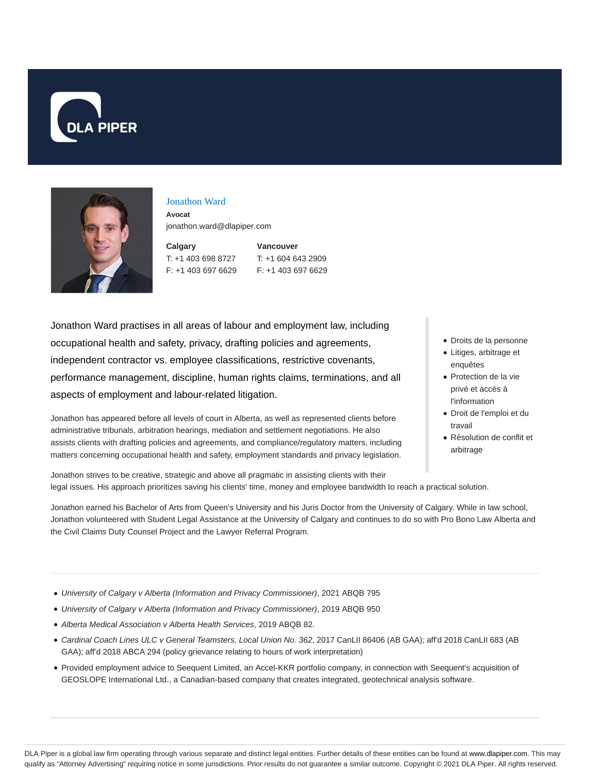



#### Jonathon Ward

**Avocat** jonathon.ward@dlapiper.com

**Calgary** T: +1 403 698 8727 F: +1 403 697 6629 **Vancouver** T: +1 604 643 2909 F: +1 403 697 6629

Jonathon Ward practises in all areas of labour and employment law, including occupational health and safety, privacy, drafting policies and agreements, independent contractor vs. employee classifications, restrictive covenants, performance management, discipline, human rights claims, terminations, and all aspects of employment and labour-related litigation.

Jonathon has appeared before all levels of court in Alberta, as well as represented clients before administrative tribunals, arbitration hearings, mediation and settlement negotiations. He also assists clients with drafting policies and agreements, and compliance/regulatory matters, including matters concerning occupational health and safety, employment standards and privacy legislation.

- Droits de la personne
- Litiges, arbitrage et enquêtes
- Protection de la vie privé et accès à l'information
- Droit de l'emploi et du travail
- Résolution de conflit et arbitrage

Jonathon strives to be creative, strategic and above all pragmatic in assisting clients with their legal issues. His approach prioritizes saving his clients' time, money and employee bandwidth to reach a practical solution.

Jonathon earned his Bachelor of Arts from Queen's University and his Juris Doctor from the University of Calgary. While in law school, Jonathon volunteered with Student Legal Assistance at the University of Calgary and continues to do so with Pro Bono Law Alberta and the Civil Claims Duty Counsel Project and the Lawyer Referral Program.

- University of Calgary v Alberta (Information and Privacy Commissioner), 2021 ABQB 795
- University of Calgary v Alberta (Information and Privacy Commissioner), 2019 ABQB 950
- Alberta Medical Association v Alberta Health Services, 2019 ABQB 82.
- Cardinal Coach Lines ULC v General Teamsters, Local Union No. 362, 2017 CanLII 86406 (AB GAA); aff'd 2018 CanLII 683 (AB GAA); aff'd 2018 ABCA 294 (policy grievance relating to hours of work interpretation)
- Provided employment advice to Seequent Limited, an Accel-KKR portfolio company, in connection with Seequent's acquisition of GEOSLOPE International Ltd., a Canadian-based company that creates integrated, geotechnical analysis software.

DLA Piper is a global law firm operating through various separate and distinct legal entities. Further details of these entities can be found at www.dlapiper.com. This may qualify as "Attorney Advertising" requiring notice in some jurisdictions. Prior results do not guarantee a similar outcome. Copyright © 2021 DLA Piper. All rights reserved.